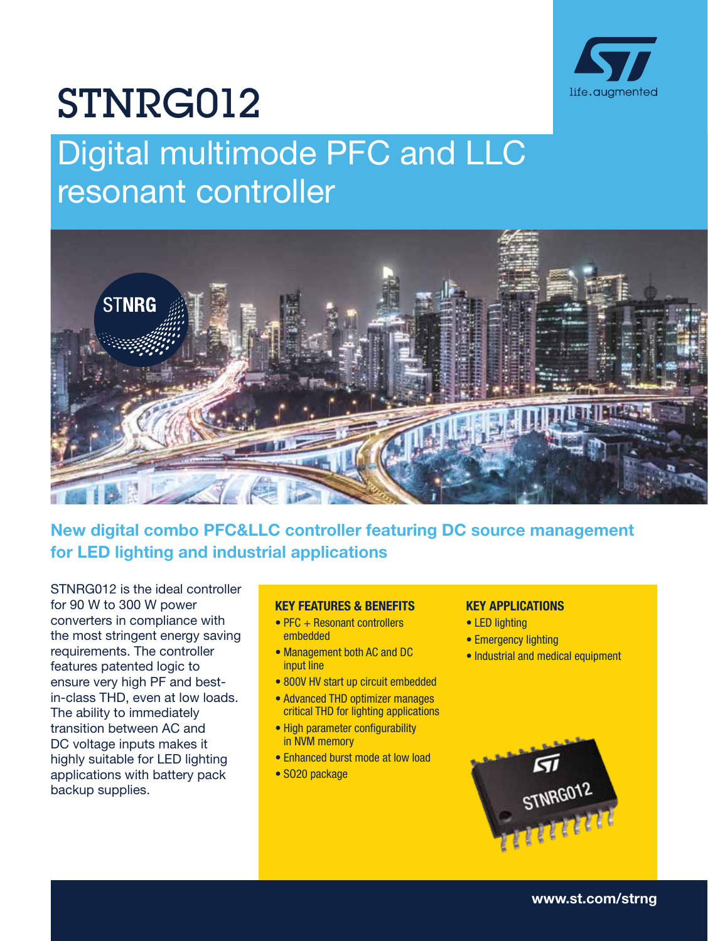

# STNRG012

# Digital multimode PFC and LLC resonant controller



## New digital combo PFC&LLC controller featuring DC source management for LED lighting and industrial applications

STNRG012 is the ideal controller for 90 W to 300 W power converters in compliance with the most stringent energy saving requirements. The controller features patented logic to ensure very high PF and bestin-class THD, even at low loads. The ability to immediately transition between AC and DC voltage inputs makes it highly suitable for LED lighting applications with battery pack backup supplies.

#### KEY FEATURES & BENEFITS

- PFC + Resonant controllers embedded
- Management both AC and DC input line
- 800V HV start up circuit embedded
- Advanced THD optimizer manages critical THD for lighting applications
- High parameter configurability in NVM memory
- Enhanced burst mode at low load
- SO20 package

### KEY APPLICATIONS

- LED lighting
- Emergency lighting
- Industrial and medical equipment



[www.st.com/strng](https://www.st.com/en/power-management/resonant-controllers.html)